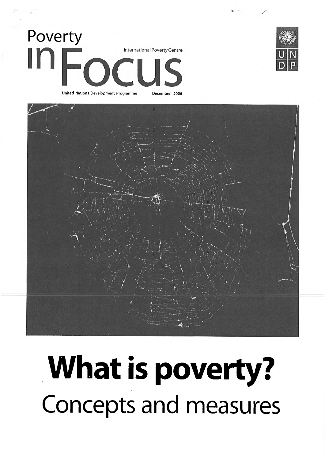





## What is powerty? Concepts and measures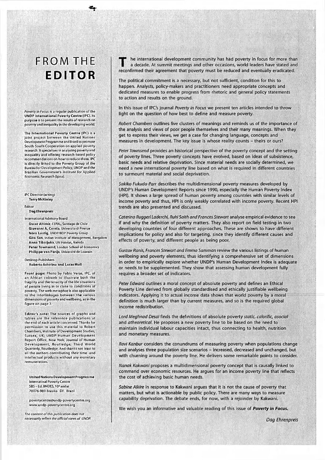## FROM THE **EDITOR**

 $\mathcal{F}$ 

*Poverty in Focus* is a regular publication of the UNDP International Poverty Centre (IPC). Its purpose is to present the results of research on poverty and inequality in the developing world.

The International Poverty Centre (IPC) is a joint project between the United Nations Development Programmeand Brazil to promote South-South Cooperation on applied poverty research. It specialises in analysing povertyand inequality and offering research-based policy recommendations on how to reduce them. IPC is directly linked to the Poverty Group of the Bureau for Development Policy, UNDP and the Brazilian Government's Institute for Applied Economic Research (Ipea).

IPC Director (acting) Terry McKinley

## Editor

DagEhrenpreis .

International Advisory Board

Oscar Altimir, CEPAL, Santiago de Chile Giovanni A. Cornia, Universita di Flrenze Nora Lustig, UNDP/BDP Poverty Group Gita Sen, Indian Institute of Management, Bangalore Anna Tibaijuka, UN Habitat, Nairobi Peter Townsend, London School of Economics Philippe van Parijs, Université de Louvain

Desktop Publishers

Roberto Astorino and Lucas Moll

Front page: Photo by Fablo Veras, IPC, of an African cobweb to illustrate both the fragility and the tenacity of the life situations of people living in or close to conditions of poverty. The web metaphor is also applicable to the Interlinkages between the various dimensions of poverty and wellbeing, as in the figure on page3.

Editor's note: The sources of graphs and tables are the reference publications at: the end of each article concerned. Thanks for permission to use this material to Robert; Chambers, Institute of Development Studies, Sussex, UK; UNDP Human Development Report Office, New York; Journal of Human Development, Routledge; Third World Quarterly, Routledge, And thanks not least to all the authors contributing their time and intellectual products without any monetary remuneration.

United Nations Development Programme Internatinal PovertyCentre SBS - Ed. BNDES, 10° andar 70076-900 Brasilia DF Brazil

[povertycentre@undp-povertycentre.org](mailto:povertycentre@undp-povertycentre.org)  www,undp-poyertycentre.org

*The content of this publication* does not *necessarily reflect the official views of UNDP.*  The international development community has had poverty in focus for more that<br>a decade. At summit meetings and other occasions, world leaders have stated and<br>reconfirmed their agreement that poverty must be reduced and ev he international development community has had poverty in focus for more than a decade. At summit meetings and other occasions, world leaders have stated and

The political commitment is a necessary, but not sufficient, condition for this to happen. Analysts, policy-makers and practitioners need appropriate concepts and dedicated measures to enable progress from rhetoric and general policy statements to action and results on the ground.

In this issue of IPC's journal *Poverty in Focus* we present ten articles intended to throw light on the question of how best to define and measure poverty.

*Robert Chambers* outlines five clusters of meanings and reminds us of the importance of the analysis and views of poor people themselves and their many meanings. When they get to express their views, we get a case for changing language, concepts and measures in development. The key issue is whose reality counts - theirs or ours?

*Peter Townsend* provides an historical perspective of the poverty concept and the setting of poverty lines. Three poverty concepts have evolved, based on ideas of subsistence, basic needs and relative deprivation. Since material needs are socially determined, we need a new international poverty line based on what is required in different countries to surmount material and social deprivation.

*Sakiko Fukuda-Parr* describes the multidimensional poverty measures developed by UNDP's Human Development Reports since 1990, especially the Human Poverty Index (HPI). It shows a large spread of human poverty among countries with similar levels of income poverty and thus, HPI is only weakly correlated with income poverty. Recent HPI trends are also presented and discussed.

Caterina Ruggeri Laderchi, Ruhi Saith and Frances Stewart analyse empirical evidence to see if and why the definition of poverty matters. They also report on field testing in two developing countries of four different approaches. These are shown to have different implications for policy and also for targeting, since they identify different causes and effects of poverty, and different people as being poor.

*Gustav Ranis, Frances Stewart and Emma Samman* review the various listings of human wellbeing and poverty elements, thus identifying a comprehensive set of dimensions in order to empirically explore whether UNDP's Human Development Index is adequate or needs to be supplemented. They show that assessing human development fully requires a broader set of indicators.

*Peter Edward* outlines a moral concept of absolute poverty and defines an Ethical Poverty Line derived from globally standardised and ethically justifiable wellbeing indicators. Applying it to actual income data shows that world poverty by a moral definition is much larger than by current measures, and so is the required global income redistribution.

*Lord Meghnad Desai* finds the definitions of absolute poverty *static, calorific, asocial*  and *atheoretical.* He proposes a new poverty line to be based on the need to maintain individual labour capacities intact, thus connecting to health, nutrition and monetary measures.

*Ravi Kanbur* considers the conundrums of measuring poverty when populations change and analyses three population size scenarios - increased, decreased and unchanged, but with churning around the poverty line. He delivers some remarkable points to consider.

*Nanak Kakwani* proposes; a multidimensional poverty concept that is causally jinked to command over economic resources. He argues for an income poverty line that reflects the cost of achieving basic human needs.

*Sabine Alkire* in response to Kakwani argues that it is not the cause of poverty that matters, but what is actionable by public policy. There are many ways to measure capability deprivation. The debate ends, for now, with a rejoinder by Kakwani.

We wish you an informative and valuable reading of this issue of *Poverty in Focus,* 

*Dag Ehrenpreis*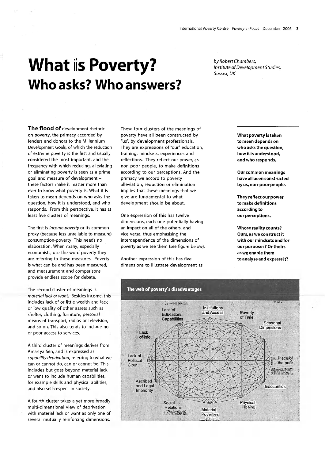## What is Poverty? Who asks? Who answers?

The flood of development rhetoric on poverty, the primacy accorded by lenders and donors to the Millennium Development Goals, of which the reduction of extreme poverty is the first and usually considered the most important, and the frequency with which reducing, alleviating or eliminating poverty is seen as a prime goal and measure of development these factors make it matter more than ever to know what poverty is. What it is taken to mean depends on who asks the question, how it is understood, and who responds. From this perspective, it has at least five clusters of meanings.

The first is *income-poverty* or its common proxy (because less unreliable to measure) consumption-poverty. This needs no elaboration. When many, especially economists, use the word poverty they are referring to these measures. Poverty is what can be and has been measured, and measuremerit and comparisons provide endless scope for debate.

The second cluster of meanings is *material lack or want.* Besides income, this includes lack of or little wealth and lack or low quality of other assets such as shelter, clothing, furniture, personal means of transport, radios or television, and so on. This also tends to include no or poor access to services.

A third cluster of meanings derives from Amartya Sen, and is expressed as *capability deprivation,* referring to what we can or cannot do, can or cannot be. This includes but goes beyond material lack or want to include human capabilities, for example skills and physical abilities, and also self-respect in society.

A fourth cluster takes a yet more broadly multi-dimensional view of deprivation, with material lack or want as only one of several mutually reinforcing dimensions.

These four clusters of the meanings of poverty have all been constructed by "us", by development professionals. They are expressions of "our" education, training, mindsets, experiences and reflections. They reflect our power, as non-poor people, to make definitions according to our perceptions. And the primacy we accord to poverty alleviation, reduction or elimination implies that these meanings that we give are fundamental to what development should be about.

One expression of this has twelve dimensions, each one potentially having an impact on all of the others, and vice versa, thus emphasising the interdependence of the dimensions of poverty as we see them (see figure below).

Another expression of this has five dimensions to illustrate development as *by Robert Chambers, Institute of Development Studies, Sussex, UK* 

> What poverty is taken to mean depends on who asks the question, how it is understood, and who responds.

Our common meanings have all been constructed by us, non-poor people.

They reflect our power to make definitions according to our perceptions.

Whose reality counts? Ours, as we construct it with our mindsets and for our purposes? Or theirs as we enable them to analyse and express it?